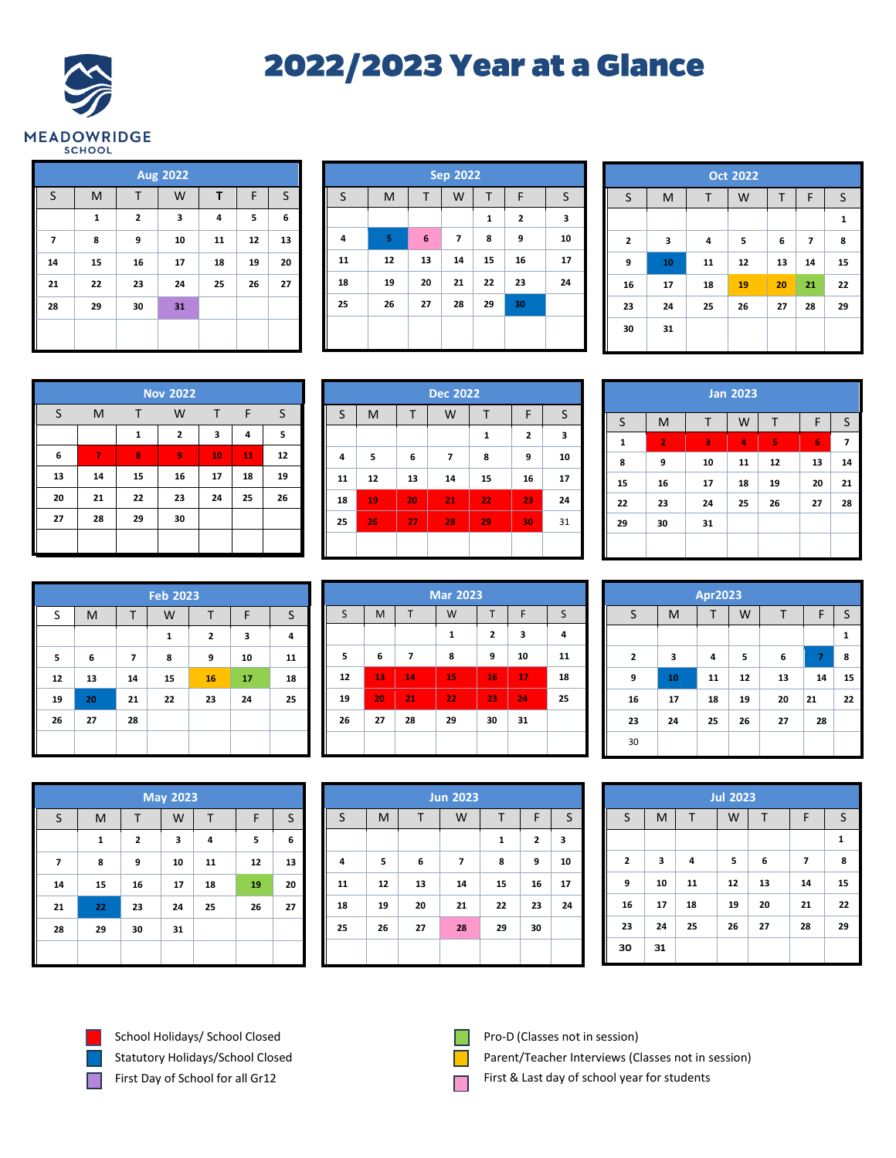## **2022/2023 Year at a Glance**



| <b>Aug 2022</b> |    |              |    |    |    |         |  |  |  |
|-----------------|----|--------------|----|----|----|---------|--|--|--|
| $\mathsf{S}$    | M  | Τ            | W  | Τ  | F  | $\sf S$ |  |  |  |
|                 | 1  | $\mathbf{2}$ | 3  | 4  | 5  | 6       |  |  |  |
| 7               | 8  | 9            | 10 | 11 | 12 | 13      |  |  |  |
| 14              | 15 | 16           | 17 | 18 | 19 | 20      |  |  |  |
| 21              | 22 | 23           | 24 | 25 | 26 | 27      |  |  |  |
| 28              | 29 | 30           | 31 |    |    |         |  |  |  |
|                 |    |              |    |    |    |         |  |  |  |

| <b>Sep 2022</b> |    |    |    |              |    |    |  |  |
|-----------------|----|----|----|--------------|----|----|--|--|
| S               | M  | Τ  | W  | Τ            | F  | S  |  |  |
|                 |    |    |    | $\mathbf{1}$ | 2  | 3  |  |  |
| 4               | 5  | 6  | 7  | 8            | 9  | 10 |  |  |
| 11              | 12 | 13 | 14 | 15           | 16 | 17 |  |  |
| 18              | 19 | 20 | 21 | 22           | 23 | 24 |  |  |
| 25              | 26 | 27 | 28 | 29           | 30 |    |  |  |
|                 |    |    |    |              |    |    |  |  |
|                 |    |    |    |              |    |    |  |  |

| <b>Oct 2022</b> |    |    |    |    |                          |    |  |  |  |
|-----------------|----|----|----|----|--------------------------|----|--|--|--|
| S               | M  | Τ  | W  | Τ  | F                        | S  |  |  |  |
|                 |    |    |    |    |                          | 1  |  |  |  |
| 2               | 3  | 4  | 5  | 6  | $\overline{\phantom{a}}$ | 8  |  |  |  |
| 9               | 10 | 11 | 12 | 13 | 14                       | 15 |  |  |  |
| 16              | 17 | 18 | 19 | 20 | 21                       | 22 |  |  |  |
| 23              | 24 | 25 | 26 | 27 | 28                       | 29 |  |  |  |
| 30              | 31 |    |    |    |                          |    |  |  |  |
|                 |    |    |    |    |                          |    |  |  |  |

| <b>Nov 2022</b> |    |              |              |              |    |    |  |  |  |
|-----------------|----|--------------|--------------|--------------|----|----|--|--|--|
| S               | M  | т            | W            | $\mathsf{T}$ | F  | S  |  |  |  |
|                 |    | $\mathbf{1}$ | $\mathbf{2}$ | 3            | 4  | 5  |  |  |  |
| 6               | 7  | 8            | 9            | 10           | 11 | 12 |  |  |  |
| 13              | 14 | 15           | 16           | 17           | 18 | 19 |  |  |  |
| 20              | 21 | 22           | 23           | 24           | 25 | 26 |  |  |  |
| 27              | 28 | 29           | 30           |              |    |    |  |  |  |
|                 |    |              |              |              |    |    |  |  |  |

|         | <b>Dec 2022</b> |    |    |    |    |    |  |  |  |  |
|---------|-----------------|----|----|----|----|----|--|--|--|--|
| $\sf S$ | M               | Τ  | W  | т  | F  | S  |  |  |  |  |
|         |                 |    |    | 1  | 2  | 3  |  |  |  |  |
| 4       | 5               | 6  | 7  | 8  | 9  | 10 |  |  |  |  |
| 11      | 12              | 13 | 14 | 15 | 16 | 17 |  |  |  |  |
| 18      | 19              | 20 | 21 | 22 | 23 | 24 |  |  |  |  |
| 25      | 26              | 27 | 28 | 29 | 30 | 31 |  |  |  |  |
|         |                 |    |    |    |    |    |  |  |  |  |

| <b>Jan 2023</b> |                |    |    |    |    |    |  |  |  |
|-----------------|----------------|----|----|----|----|----|--|--|--|
| $\sf S$         | M              | Т  | W  | Τ  | F  | S  |  |  |  |
| 1               | $\overline{2}$ | 3  | 4  | 5  | 6  | 7  |  |  |  |
| 8               | 9              | 10 | 11 | 12 | 13 | 14 |  |  |  |
| 15              | 16             | 17 | 18 | 19 | 20 | 21 |  |  |  |
| 22              | 23             | 24 | 25 | 26 | 27 | 28 |  |  |  |
| 29              | 30             | 31 |    |    |    |    |  |  |  |
|                 |                |    |    |    |    |    |  |  |  |

|    | <b>Feb 2023</b> |    |    |    |    |    |  |  |  |  |
|----|-----------------|----|----|----|----|----|--|--|--|--|
| S  | M               | т  | W  | т  | F  | S  |  |  |  |  |
|    |                 |    | 1  | 2  | 3  | 4  |  |  |  |  |
| 5  | 6               | 7  | 8  | 9  | 10 | 11 |  |  |  |  |
| 12 | 13              | 14 | 15 | 16 | 17 | 18 |  |  |  |  |
| 19 | 20              | 21 | 22 | 23 | 24 | 25 |  |  |  |  |
| 26 | 27              | 28 |    |    |    |    |  |  |  |  |
|    |                 |    |    |    |    |    |  |  |  |  |

| <b>Mar 2023</b> |    |    |    |    |    |    |  |  |  |
|-----------------|----|----|----|----|----|----|--|--|--|
| S               | M  | T  | W  | T  | F  | S  |  |  |  |
|                 |    |    | 1  | 2  | 3  | 4  |  |  |  |
| 5               | 6  | 7  | 8  | 9  | 10 | 11 |  |  |  |
| 12              | 13 | 14 | 15 | 16 | 17 | 18 |  |  |  |
| 19              | 20 | 21 | 22 | 23 | 24 | 25 |  |  |  |
| 26              | 27 | 28 | 29 | 30 | 31 |    |  |  |  |
|                 |    |    |    |    |    |    |  |  |  |

| <b>Apr2023</b> |    |    |    |    |                |    |  |  |  |
|----------------|----|----|----|----|----------------|----|--|--|--|
| S              | M  | т  | W  | Τ  | F              | S  |  |  |  |
|                |    |    |    |    |                | 1  |  |  |  |
| 2              | 3  | 4  | 5  | 6  | $\overline{7}$ | 8  |  |  |  |
| 9              | 10 | 11 | 12 | 13 | 14             | 15 |  |  |  |
| 16             | 17 | 18 | 19 | 20 | 21             | 22 |  |  |  |
| 23             | 24 | 25 | 26 | 27 | 28             |    |  |  |  |
| 30             |    |    |    |    |                |    |  |  |  |

| <b>May 2023</b> |             |                         |    |    |    |    |  |  |  |
|-----------------|-------------|-------------------------|----|----|----|----|--|--|--|
| S               | M           | т                       | W  | Т  | F  | S  |  |  |  |
|                 | $\mathbf 1$ | $\overline{\mathbf{2}}$ | 3  | 4  | 5  | 6  |  |  |  |
| 7               | 8           | 9                       | 10 | 11 | 12 | 13 |  |  |  |
| 14              | 15          | 16                      | 17 | 18 | 19 | 20 |  |  |  |
| 21              | 22          | 23                      | 24 | 25 | 26 | 27 |  |  |  |
| 28              | 29          | 30                      | 31 |    |    |    |  |  |  |
|                 |             |                         |    |    |    |    |  |  |  |

|    | <b>Jun 2023</b> |    |    |              |    |         |  |  |  |  |
|----|-----------------|----|----|--------------|----|---------|--|--|--|--|
| S  | M               | Т  | W  | Τ            | F  | $\sf S$ |  |  |  |  |
|    |                 |    |    | $\mathbf{1}$ | 2  | 3       |  |  |  |  |
| 4  | 5               | 6  | 7  | 8            | 9  | 10      |  |  |  |  |
| 11 | 12              | 13 | 14 | 15           | 16 | 17      |  |  |  |  |
| 18 | 19              | 20 | 21 | 22           | 23 | 24      |  |  |  |  |
| 25 | 26              | 27 | 28 | 29           | 30 |         |  |  |  |  |
|    |                 |    |    |              |    |         |  |  |  |  |

|              | <b>Jul 2023</b> |    |    |    |                |              |  |  |  |
|--------------|-----------------|----|----|----|----------------|--------------|--|--|--|
| S            | M               | T  | W  | Т  | F              | $\sf S$      |  |  |  |
|              |                 |    |    |    |                | $\mathbf{1}$ |  |  |  |
| $\mathbf{2}$ | 3               | 4  | 5  | 6  | $\overline{7}$ | 8            |  |  |  |
| 9            | 10              | 11 | 12 | 13 | 14             | 15           |  |  |  |
| 16           | 17              | 18 | 19 | 20 | 21             | 22           |  |  |  |
| 23           | 24              | 25 | 26 | 27 | 28             | 29           |  |  |  |
| 30           | 31              |    |    |    |                |              |  |  |  |

School Holidays/ School Closed Statutory Holidays/School Closed First Day of School for all Gr12

Г



Pro-D (Classes not in session)

Parent/Teacher Interviews (Classes not in session)

First & Last day of school year for students